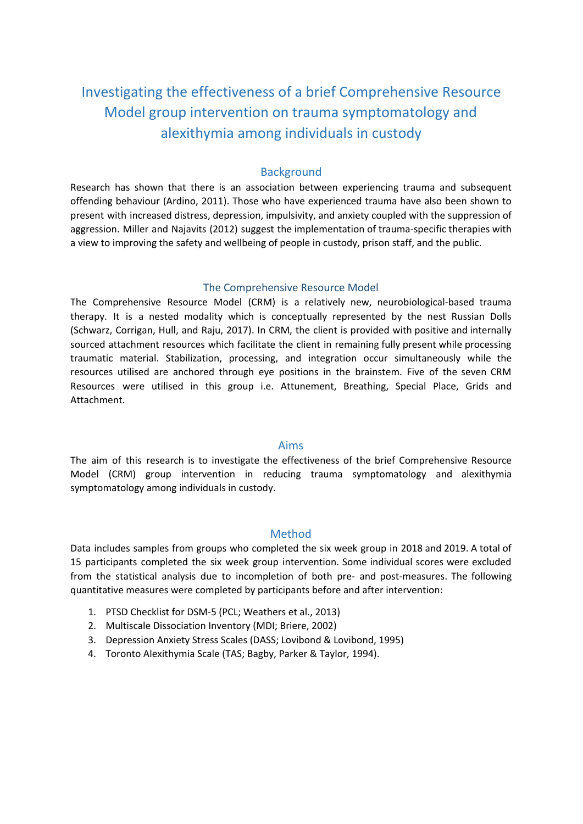# Investigating the effectiveness of a brief Comprehensive Resource Model group intervention on trauma symptomatology and alexithymia among individuals in custody

# **Background**

Research has shown that there is an association between experiencing trauma and subsequent offending behaviour (Ardino, 2011). Those who have experienced trauma have also been shown to present with increased distress, depression, impulsivity, and anxiety coupled with the suppression of aggression. Miller and Najavits (2012) suggest the implementation of trauma-specific therapies with a view to improving the safety and wellbeing of people in custody, prison staff, and the public.

## The Comprehensive Resource Model

The Comprehensive Resource Model (CRM) is a relatively new, neurobiological-based trauma therapy. It is a nested modality which is conceptually represented by the nest Russian Dolls (Schwarz, Corrigan, Hull, and Raju, 2017). In CRM, the client is provided with positive and internally sourced attachment resources which facilitate the client in remaining fully present while processing traumatic material. Stabilization, processing, and integration occur simultaneously while the resources utilised are anchored through eye positions in the brainstem. Five of the seven CRM Resources were utilised in this group i.e. Attunement, Breathing, Special Place, Grids and Attachment.

## Aims

The aim of this research is to investigate the effectiveness of the brief Comprehensive Resource Model (CRM) group intervention in reducing trauma symptomatology and alexithymia symptomatology among individuals in custody.

# Method

Data includes samples from groups who completed the six week group in 2018 and 2019. A total of 15 participants completed the six week group intervention. Some individual scores were excluded from the statistical analysis due to incompletion of both pre- and post-measures. The following quantitative measures were completed by participants before and after intervention:

- 1. PTSD Checklist for DSM-5 (PCL; Weathers et al., 2013)
- 2. Multiscale Dissociation Inventory (MDI; Briere, 2002)
- 3. Depression Anxiety Stress Scales (DASS; Lovibond & Lovibond, 1995)
- 4. Toronto Alexithymia Scale (TAS; Bagby, Parker & Taylor, 1994).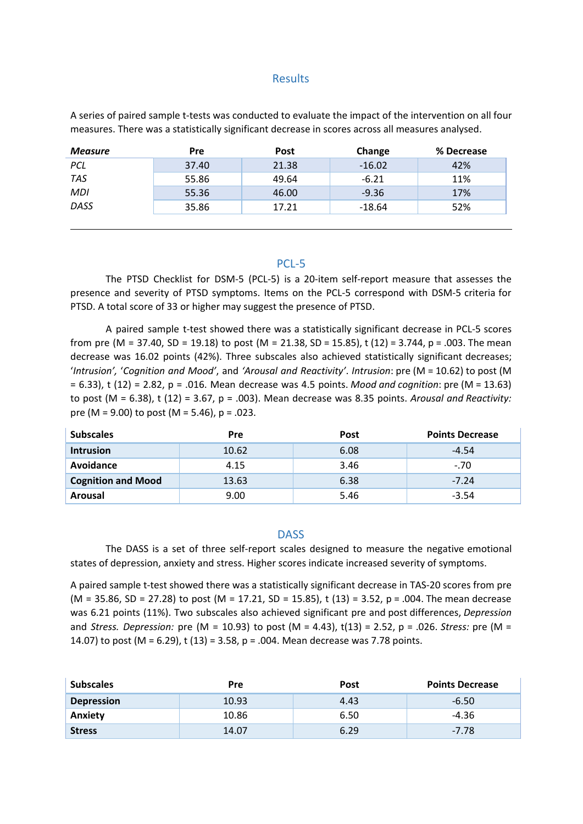## Results

A series of paired sample t-tests was conducted to evaluate the impact of the intervention on all four measures. There was a statistically significant decrease in scores across all measures analysed.

| <b>Measure</b> | <b>Pre</b> | <b>Post</b> | Change   | % Decrease |
|----------------|------------|-------------|----------|------------|
| PCL            | 37.40      | 21.38       | $-16.02$ | 42%        |
| TAS            | 55.86      | 49.64       | $-6.21$  | 11%        |
| MDI            | 55.36      | 46.00       | $-9.36$  | 17%        |
| DASS           | 35.86      | 17.21       | $-18.64$ | 52%        |
|                |            |             |          |            |

#### PCL-5

The PTSD Checklist for DSM-5 (PCL-5) is a 20-item self-report measure that assesses the presence and severity of PTSD symptoms. Items on the PCL-5 correspond with DSM-5 criteria for PTSD. A total score of 33 or higher may suggest the presence of PTSD.

A paired sample t-test showed there was a statistically significant decrease in PCL-5 scores from pre (M = 37.40, SD = 19.18) to post (M = 21.38, SD = 15.85), t (12) = 3.744, p = .003. The mean decrease was 16.02 points (42%). Three subscales also achieved statistically significant decreases; '*Intrusion',* '*Cognition and Mood'*, and *'Arousal and Reactivity'*. *Intrusion*: pre (M = 10.62) to post (M = 6.33), t (12) = 2.82, p = .016. Mean decrease was 4.5 points. *Mood and cognition*: pre (M = 13.63) to post (M = 6.38), t (12) = 3.67, p = .003). Mean decrease was 8.35 points. *Arousal and Reactivity:* pre (M = 9.00) to post (M = 5.46),  $p = .023$ .

| <b>Subscales</b>          | <b>Pre</b> | <b>Post</b> | <b>Points Decrease</b> |
|---------------------------|------------|-------------|------------------------|
| <b>Intrusion</b>          | 10.62      | 6.08        | -4.54                  |
| Avoidance                 | 4.15       | 3.46        | $-.70$                 |
| <b>Cognition and Mood</b> | 13.63      | 6.38        | $-7.24$                |
| Arousal                   | 9.00       | 5.46        | $-3.54$                |

#### **DASS**

The DASS is a set of three self-report scales designed to measure the negative emotional states of depression, anxiety and stress. Higher scores indicate increased severity of symptoms.

A paired sample t-test showed there was a statistically significant decrease in TAS-20 scores from pre (M = 35.86, SD = 27.28) to post (M = 17.21, SD = 15.85), t (13) = 3.52, p = .004. The mean decrease was 6.21 points (11%). Two subscales also achieved significant pre and post differences, *Depression* and *Stress. Depression:* pre (M = 10.93) to post (M = 4.43), t(13) = 2.52, p = .026. *Stress:* pre (M = 14.07) to post (M = 6.29), t (13) = 3.58, p = .004. Mean decrease was 7.78 points.

| <b>Subscales</b>  | Pre   | <b>Post</b> | <b>Points Decrease</b> |
|-------------------|-------|-------------|------------------------|
| <b>Depression</b> | 10.93 | 4.43        | $-6.50$                |
| Anxiety           | 10.86 | 6.50        | -4.36                  |
| <b>Stress</b>     | 14.07 | 6.29        | $-7.78$                |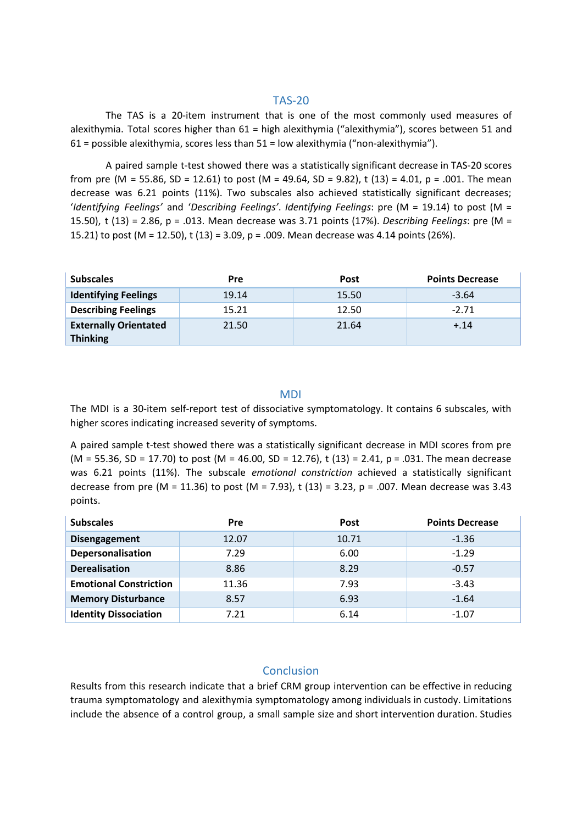## TAS-20

The TAS is a 20-item instrument that is one of the most commonly used measures of alexithymia. Total scores higher than 61 = high alexithymia ("alexithymia"), scores between 51 and 61 = possible alexithymia, scores less than 51 = low alexithymia ("non-alexithymia").

A paired sample t-test showed there was a statistically significant decrease in TAS-20 scores from pre (M = 55.86, SD = 12.61) to post (M = 49.64, SD = 9.82), t (13) = 4.01, p = .001. The mean decrease was 6.21 points (11%). Two subscales also achieved statistically significant decreases; '*Identifying Feelings'* and '*Describing Feelings'*. *Identifying Feelings*: pre (M = 19.14) to post (M = 15.50), t (13) = 2.86, p = .013. Mean decrease was 3.71 points (17%). *Describing Feelings*: pre (M = 15.21) to post (M = 12.50), t (13) = 3.09, p = .009. Mean decrease was 4.14 points (26%).

| <b>Subscales</b>             | <b>Pre</b> | <b>Post</b> | <b>Points Decrease</b> |
|------------------------------|------------|-------------|------------------------|
| <b>Identifying Feelings</b>  | 19.14      | 15.50       | $-3.64$                |
| <b>Describing Feelings</b>   | 15.21      | 12.50       | $-2.71$                |
| <b>Externally Orientated</b> | 21.50      | 21.64       | $+.14$                 |
| <b>Thinking</b>              |            |             |                        |

### MDI

The MDI is a 30-item self-report test of dissociative symptomatology. It contains 6 subscales, with higher scores indicating increased severity of symptoms.

A paired sample t-test showed there was a statistically significant decrease in MDI scores from pre (M = 55.36, SD = 17.70) to post (M = 46.00, SD = 12.76), t (13) = 2.41, p = .031. The mean decrease was 6.21 points (11%). The subscale *emotional constriction* achieved a statistically significant decrease from pre (M = 11.36) to post (M = 7.93), t (13) = 3.23, p = .007. Mean decrease was 3.43 points.

| <b>Subscales</b>              | Pre   | <b>Post</b> | <b>Points Decrease</b> |
|-------------------------------|-------|-------------|------------------------|
| Disengagement                 | 12.07 | 10.71       | $-1.36$                |
| Depersonalisation             | 7.29  | 6.00        | $-1.29$                |
| <b>Derealisation</b>          | 8.86  | 8.29        | $-0.57$                |
| <b>Emotional Constriction</b> | 11.36 | 7.93        | $-3.43$                |
| <b>Memory Disturbance</b>     | 8.57  | 6.93        | $-1.64$                |
| <b>Identity Dissociation</b>  | 7.21  | 6.14        | $-1.07$                |

## **Conclusion**

Results from this research indicate that a brief CRM group intervention can be effective in reducing trauma symptomatology and alexithymia symptomatology among individuals in custody. Limitations include the absence of a control group, a small sample size and short intervention duration. Studies